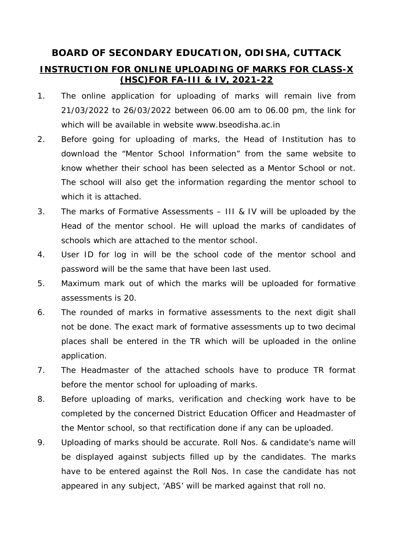## **BOARD OF SECONDARY EDUCATION, ODISHA, CUTTACK**

## **INSTRUCTION FOR ONLINE UPLOADING OF MARKS FOR CLASS-X (HSC)FOR FA-III & IV, 2021-22**

- 1. The online application for uploading of marks will remain live from 21/03/2022 to 26/03/2022 between 06.00 am to 06.00 pm, the link for which will be available in website www.bseodisha.ac.in
- 2. Before going for uploading of marks, the Head of Institution has to download the "Mentor School Information" from the same website to know whether their school has been selected as a Mentor School or not. The school will also get the information regarding the mentor school to which it is attached.
- 3. The marks of Formative Assessments III & IV will be uploaded by the Head of the mentor school. He will upload the marks of candidates of schools which are attached to the mentor school.
- 4. User ID for log in will be the school code of the mentor school and password will be the same that have been last used.
- 5. Maximum mark out of which the marks will be uploaded for formative assessments is 20.
- 6. The rounded of marks in formative assessments to the next digit shall not be done. The exact mark of formative assessments up to two decimal places shall be entered in the TR which will be uploaded in the online application.
- 7. The Headmaster of the attached schools have to produce TR format before the mentor school for uploading of marks.
- 8. Before uploading of marks, verification and checking work have to be completed by the concerned District Education Officer and Headmaster of the Mentor school, so that rectification done if any can be uploaded.
- 9. Uploading of marks should be accurate. Roll Nos. & candidate's name will be displayed against subjects filled up by the candidates. The marks have to be entered against the Roll Nos. In case the candidate has not appeared in any subject, 'ABS' will be marked against that roll no.